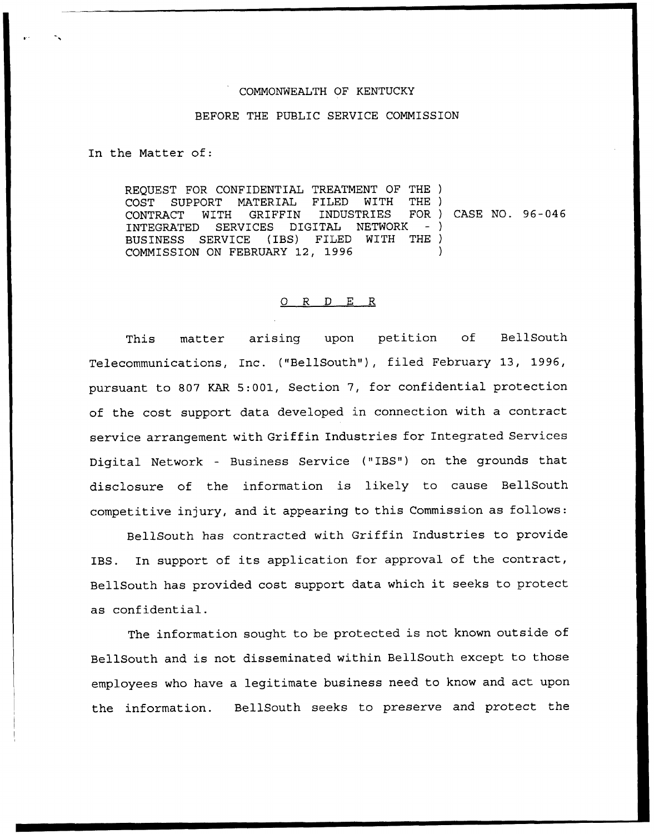## COMMONWEALTH OF KENTUCKY

## BEFORE THE PUBLIC SERVICE COMMISSION

In the Matter of:

REQUEST FOR CONFIDENTIAL TREATMENT OF THE ) COST SUPPORT MATERIAL FILED WITH<br>CONTRACT WITH GRIFFIN INDUSTRIES CONTRACT WITH GRIFFIN INDUSTRIES FORTHER FOR THE SERVICES DIGITAL NETWORK INTEGRATED SERVICES DIGITAL NETWORK<br>BUSINESS SERVICE (IBS) FILED WITH BUSINESS SERVICE (IBS) FILED COMMISSION ON FEBRUARY 12, 1996 THE) ) CASE NO. 96-046  $-$ ) THE ) )

## 0 <sup>R</sup> <sup>D</sup> E R

This matter arising upon petition of BellSouth Telecommunications, Inc. ("BellSouth"), filed February 13, 1996, pursuant to 807 KAR 5:001, Section 7, for confidential protection of the cost support data developed in connection with a contract service arrangement with Griffin Industries for Integrated Services Digital Network — Business Service ("IBS") on the grounds that disclosure of the information is likely to cause BellSouth competitive injury, and it appearing to this Commission as follows:

BellSouth has contracted with Griffin Industries to provide IBS. In support of its application for approval of the contract, BellSouth has provided cost support data which it seeks to protect as confidential.

The information sought to be protected is not known outside of BellSouth and is not disseminated within BellSouth except to those employees who have a legitimate business need to know and act upon the information. BellSouth seeks to preserve and protect the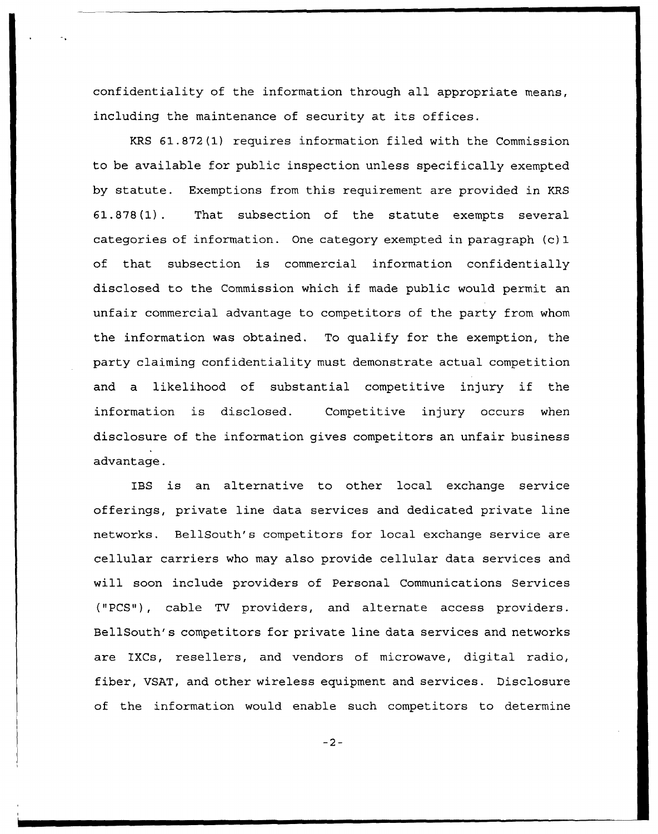confidentiality of the information through all appropriate means, including the maintenance of security at its offices.

KRS 61.872(1) requires information filed with the Commission to be available for public inspection unless specifically exempted by statute. Exemptions from this requirement are provided in KRS 61.878(1). That subsection of the statute exempts several categories of information. One category exempted in paragraph (c) 1 of that subsection is commercial information confidentially disclosed to the Commission which if made public would permit an unfair commercial advantage to competitors of the party from whom the information was obtained. To qualify for the exemption, the party claiming confidentiality must demonstrate actual competition and <sup>a</sup> likelihood of substantial competitive injury if the information is disclosed. Competitive injury occurs when disclosure of the information gives competitors an unfair business advantage.

IBS is an alternative to other local exchange service offerings, private line data services and dedicated private line networks. BellSouth's competitors for local exchange service are cellular carriers who may also provide cellular data services and will soon include providers of Personal Communications Services ("PCS"), cable TV providers, and alternate access providers. BellSouth's competitors for private line data services and networks are IXCs, resellers, and vendors of microwave, digital radio, fiber, VSAT, and other wireless equipment and services. Disclosure of the information would enable such competitors to determine

 $-2-$